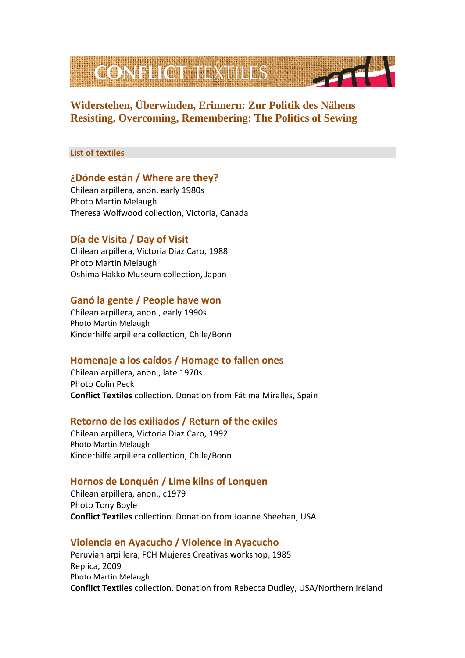

# **Widerstehen, Überwinden, Erinnern: Zur Politik des Nähens Resisting, Overcoming, Remembering: The Politics of Sewing**

#### **List of textiles**

# **¿Dónde están / Where are they?**

Chilean arpillera, anon, early 1980s Photo Martin Melaugh Theresa Wolfwood collection, Victoria, Canada

# **Día de Visita / Day of Visit**

Chilean arpillera, Victoria Diaz Caro, 1988 Photo Martin Melaugh Oshima Hakko Museum collection, Japan

### **Ganó la gente / People have won**

Chilean arpillera, anon., early 1990s Photo Martin Melaugh Kinderhilfe arpillera collection, Chile/Bonn

# **Homenaje a los caídos / Homage to fallen ones**

Chilean arpillera, anon., late 1970s Photo Colin Peck **Conflict Textiles** collection. Donation from Fátima Miralles, Spain

# **Retorno de los exiliados / Return of the exiles**

Chilean arpillera, Victoria Diaz Caro, 1992 Photo Martin Melaugh Kinderhilfe arpillera collection, Chile/Bonn

# **Hornos de Lonquén / Lime kilns of Lonquen**

Chilean arpillera, anon., c1979 Photo Tony Boyle **Conflict Textiles** collection. Donation from Joanne Sheehan, USA

# **Violencia en Ayacucho / Violence in Ayacucho**

Peruvian arpillera, FCH Mujeres Creativas workshop, 1985 Replica, 2009 Photo Martin Melaugh **Conflict Textiles** collection. Donation from Rebecca Dudley, USA/Northern Ireland